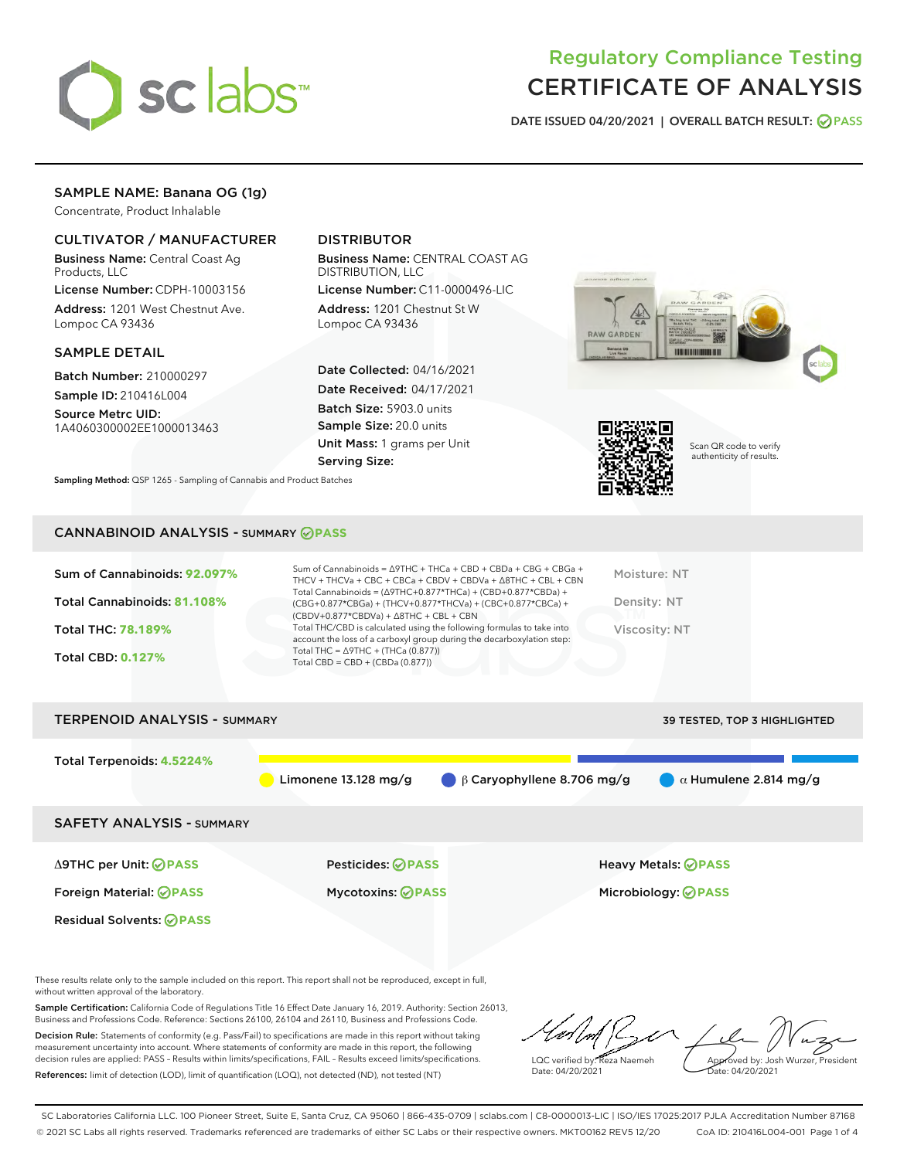

## Regulatory Compliance Testing CERTIFICATE OF ANALYSIS

DATE ISSUED 04/20/2021 | OVERALL BATCH RESULT: @ PASS

## SAMPLE NAME: Banana OG (1g)

Concentrate, Product Inhalable

## CULTIVATOR / MANUFACTURER

Business Name: Central Coast Ag Products, LLC

License Number: CDPH-10003156 Address: 1201 West Chestnut Ave. Lompoc CA 93436

#### SAMPLE DETAIL

Batch Number: 210000297

Sample ID: 210416L004 Source Metrc UID:

1A4060300002EE1000013463

## DISTRIBUTOR

Business Name: CENTRAL COAST AG DISTRIBUTION, LLC

License Number: C11-0000496-LIC Address: 1201 Chestnut St W Lompoc CA 93436

Date Collected: 04/16/2021 Date Received: 04/17/2021 Batch Size: 5903.0 units Sample Size: 20.0 units Unit Mass: 1 grams per Unit Serving Size:





Scan QR code to verify authenticity of results.

CANNABINOID ANALYSIS - SUMMARY **PASS**

Sampling Method: QSP 1265 - Sampling of Cannabis and Product Batches

| Total Cannabinoids: 81.108%<br>Density: NT<br>(CBG+0.877*CBGa) + (THCV+0.877*THCVa) + (CBC+0.877*CBCa) +<br>$(CBDV+0.877*CBDVa) + \Delta 8THC + CBL + CBN$<br>Total THC/CBD is calculated using the following formulas to take into<br><b>Total THC: 78.189%</b><br>Viscosity: NT<br>account the loss of a carboxyl group during the decarboxylation step:<br>Total THC = $\triangle$ 9THC + (THCa (0.877))<br><b>Total CBD: 0.127%</b><br>Total CBD = $CBD + (CBDa (0.877))$ | Sum of Cannabinoids: 92.097% | Sum of Cannabinoids = $\triangle$ 9THC + THCa + CBD + CBDa + CBG + CBGa +<br>THCV + THCVa + CBC + CBCa + CBDV + CBDVa + $\Delta$ 8THC + CBL + CBN | Moisture: NT |
|-------------------------------------------------------------------------------------------------------------------------------------------------------------------------------------------------------------------------------------------------------------------------------------------------------------------------------------------------------------------------------------------------------------------------------------------------------------------------------|------------------------------|---------------------------------------------------------------------------------------------------------------------------------------------------|--------------|
|                                                                                                                                                                                                                                                                                                                                                                                                                                                                               |                              | Total Cannabinoids = $(\Delta$ 9THC+0.877*THCa) + (CBD+0.877*CBDa) +                                                                              |              |
|                                                                                                                                                                                                                                                                                                                                                                                                                                                                               |                              |                                                                                                                                                   |              |
|                                                                                                                                                                                                                                                                                                                                                                                                                                                                               |                              |                                                                                                                                                   |              |

# TERPENOID ANALYSIS - SUMMARY 39 TESTED, TOP 3 HIGHLIGHTED Total Terpenoids: **4.5224%** Limonene 13.128 mg/g β Caryophyllene 8.706 mg/g α Humulene 2.814 mg/g SAFETY ANALYSIS - SUMMARY Δ9THC per Unit: **PASS** Pesticides: **PASS** Heavy Metals: **PASS** Foreign Material: **PASS** Mycotoxins: **PASS** Microbiology: **PASS** Residual Solvents: **OPASS**

These results relate only to the sample included on this report. This report shall not be reproduced, except in full, without written approval of the laboratory.

Sample Certification: California Code of Regulations Title 16 Effect Date January 16, 2019. Authority: Section 26013, Business and Professions Code. Reference: Sections 26100, 26104 and 26110, Business and Professions Code.

Decision Rule: Statements of conformity (e.g. Pass/Fail) to specifications are made in this report without taking measurement uncertainty into account. Where statements of conformity are made in this report, the following decision rules are applied: PASS – Results within limits/specifications, FAIL – Results exceed limits/specifications. References: limit of detection (LOD), limit of quantification (LOQ), not detected (ND), not tested (NT)

LQC verified by: Reza Naemeh Date: 04/20/2021 Approved by: Josh Wurzer, President Date: 04/20/2021

SC Laboratories California LLC. 100 Pioneer Street, Suite E, Santa Cruz, CA 95060 | 866-435-0709 | sclabs.com | C8-0000013-LIC | ISO/IES 17025:2017 PJLA Accreditation Number 87168 © 2021 SC Labs all rights reserved. Trademarks referenced are trademarks of either SC Labs or their respective owners. MKT00162 REV5 12/20 CoA ID: 210416L004-001 Page 1 of 4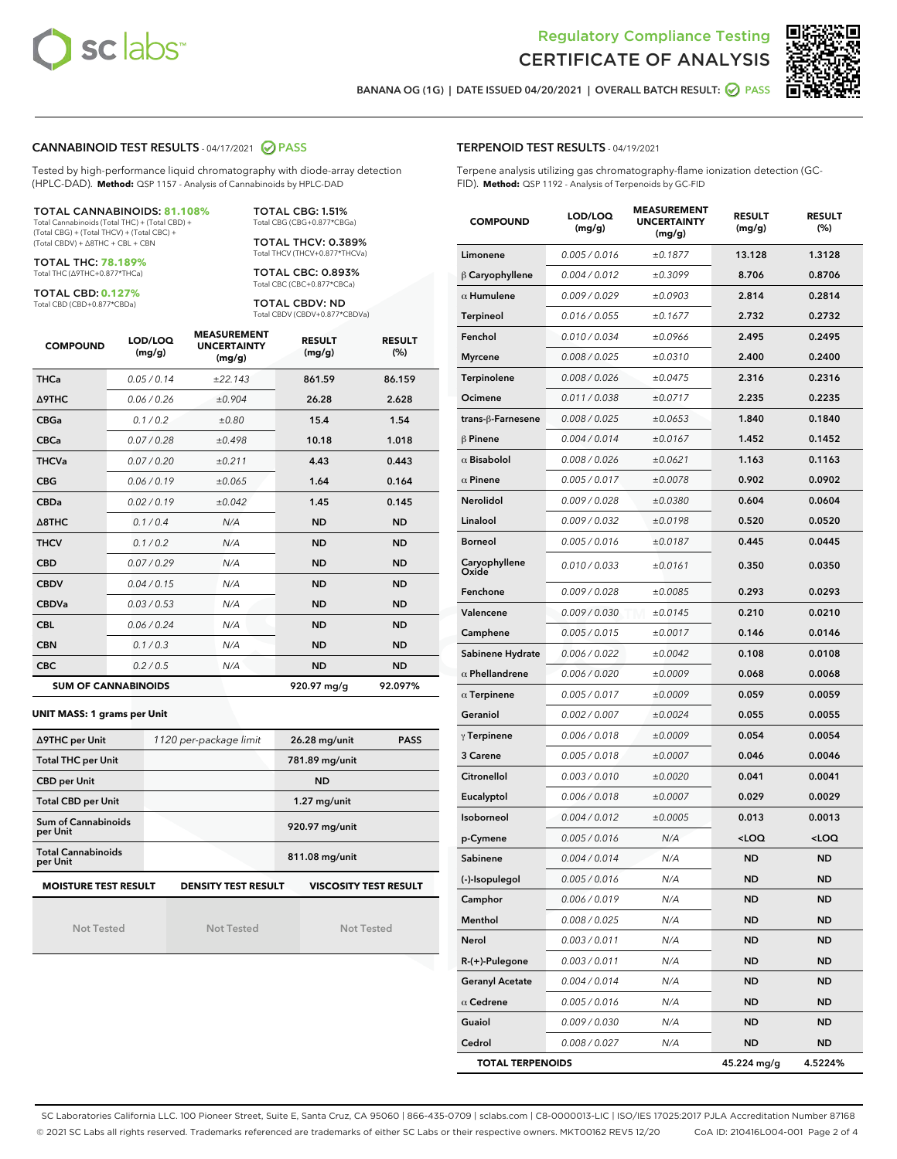



BANANA OG (1G) | DATE ISSUED 04/20/2021 | OVERALL BATCH RESULT: @ PASS

## CANNABINOID TEST RESULTS - 04/17/2021 2 PASS

Tested by high-performance liquid chromatography with diode-array detection (HPLC-DAD). **Method:** QSP 1157 - Analysis of Cannabinoids by HPLC-DAD

#### TOTAL CANNABINOIDS: **81.108%**

Total Cannabinoids (Total THC) + (Total CBD) + (Total CBG) + (Total THCV) + (Total CBC) + (Total CBDV) + ∆8THC + CBL + CBN

TOTAL THC: **78.189%** Total THC (∆9THC+0.877\*THCa)

TOTAL CBD: **0.127%**

Total CBD (CBD+0.877\*CBDa)

TOTAL CBG: 1.51% Total CBG (CBG+0.877\*CBGa)

TOTAL THCV: 0.389% Total THCV (THCV+0.877\*THCVa)

TOTAL CBC: 0.893% Total CBC (CBC+0.877\*CBCa)

TOTAL CBDV: ND Total CBDV (CBDV+0.877\*CBDVa)

| <b>COMPOUND</b> | LOD/LOQ<br>(mg/g)          | <b>MEASUREMENT</b><br><b>UNCERTAINTY</b><br>(mg/g) | <b>RESULT</b><br>(mg/g) | <b>RESULT</b><br>(%) |
|-----------------|----------------------------|----------------------------------------------------|-------------------------|----------------------|
| <b>THCa</b>     | 0.05/0.14                  | ±22.143                                            | 861.59                  | 86.159               |
| <b>A9THC</b>    | 0.06 / 0.26                | ±0.904                                             | 26.28                   | 2.628                |
| <b>CBGa</b>     | 0.1 / 0.2                  | ±0.80                                              | 15.4                    | 1.54                 |
| <b>CBCa</b>     | 0.07/0.28                  | ±0.498                                             | 10.18                   | 1.018                |
| <b>THCVa</b>    | 0.07/0.20                  | ±0.211                                             | 4.43                    | 0.443                |
| <b>CBG</b>      | 0.06/0.19                  | ±0.065                                             | 1.64                    | 0.164                |
| <b>CBDa</b>     | 0.02/0.19                  | ±0.042                                             | 1.45                    | 0.145                |
| A8THC           | 0.1/0.4                    | N/A                                                | <b>ND</b>               | <b>ND</b>            |
| <b>THCV</b>     | 0.1/0.2                    | N/A                                                | <b>ND</b>               | <b>ND</b>            |
| <b>CBD</b>      | 0.07/0.29                  | N/A                                                | <b>ND</b>               | <b>ND</b>            |
| <b>CBDV</b>     | 0.04/0.15                  | N/A                                                | <b>ND</b>               | <b>ND</b>            |
| <b>CBDVa</b>    | 0.03/0.53                  | N/A                                                | <b>ND</b>               | <b>ND</b>            |
| <b>CBL</b>      | 0.06 / 0.24                | N/A                                                | <b>ND</b>               | <b>ND</b>            |
| <b>CBN</b>      | 0.1/0.3                    | N/A                                                | <b>ND</b>               | <b>ND</b>            |
| <b>CBC</b>      | 0.2 / 0.5                  | N/A                                                | <b>ND</b>               | <b>ND</b>            |
|                 | <b>SUM OF CANNABINOIDS</b> |                                                    | 920.97 mg/g             | 92.097%              |

#### **UNIT MASS: 1 grams per Unit**

| ∆9THC per Unit                        | 1120 per-package limit     | <b>PASS</b><br>26.28 mg/unit |
|---------------------------------------|----------------------------|------------------------------|
| <b>Total THC per Unit</b>             |                            | 781.89 mg/unit               |
| <b>CBD per Unit</b>                   |                            | <b>ND</b>                    |
| <b>Total CBD per Unit</b>             |                            | $1.27$ mg/unit               |
| Sum of Cannabinoids<br>per Unit       |                            | 920.97 mg/unit               |
| <b>Total Cannabinoids</b><br>per Unit |                            | 811.08 mg/unit               |
| <b>MOISTURE TEST RESULT</b>           | <b>DENSITY TEST RESULT</b> | <b>VISCOSITY TEST RESULT</b> |

Not Tested

Not Tested

Not Tested

TERPENOID TEST RESULTS - 04/19/2021

Terpene analysis utilizing gas chromatography-flame ionization detection (GC-FID). **Method:** QSP 1192 - Analysis of Terpenoids by GC-FID

| <b>COMPOUND</b>         | LOD/LOQ<br>(mg/g) | <b>MEASUREMENT</b><br><b>UNCERTAINTY</b><br>(mg/g) | <b>RESULT</b><br>(mg/g)                         | <b>RESULT</b><br>$(\%)$ |
|-------------------------|-------------------|----------------------------------------------------|-------------------------------------------------|-------------------------|
| Limonene                | 0.005 / 0.016     | ±0.1877                                            | 13.128                                          | 1.3128                  |
| $\beta$ Caryophyllene   | 0.004 / 0.012     | ±0.3099                                            | 8.706                                           | 0.8706                  |
| $\alpha$ Humulene       | 0.009 / 0.029     | ±0.0903                                            | 2.814                                           | 0.2814                  |
| Terpineol               | 0.016 / 0.055     | ±0.1677                                            | 2.732                                           | 0.2732                  |
| Fenchol                 | 0.010 / 0.034     | ±0.0966                                            | 2.495                                           | 0.2495                  |
| <b>Myrcene</b>          | 0.008 / 0.025     | ±0.0310                                            | 2.400                                           | 0.2400                  |
| Terpinolene             | 0.008 / 0.026     | ±0.0475                                            | 2.316                                           | 0.2316                  |
| Ocimene                 | 0.011 / 0.038     | ±0.0717                                            | 2.235                                           | 0.2235                  |
| trans-β-Farnesene       | 0.008 / 0.025     | ±0.0653                                            | 1.840                                           | 0.1840                  |
| <b>β Pinene</b>         | 0.004 / 0.014     | ±0.0167                                            | 1.452                                           | 0.1452                  |
| $\alpha$ Bisabolol      | 0.008 / 0.026     | ±0.0621                                            | 1.163                                           | 0.1163                  |
| $\alpha$ Pinene         | 0.005 / 0.017     | ±0.0078                                            | 0.902                                           | 0.0902                  |
| Nerolidol               | 0.009 / 0.028     | ±0.0380                                            | 0.604                                           | 0.0604                  |
| Linalool                | 0.009 / 0.032     | ±0.0198                                            | 0.520                                           | 0.0520                  |
| <b>Borneol</b>          | 0.005 / 0.016     | ±0.0187                                            | 0.445                                           | 0.0445                  |
| Caryophyllene<br>Oxide  | 0.010 / 0.033     | ±0.0161                                            | 0.350                                           | 0.0350                  |
| Fenchone                | 0.009 / 0.028     | ±0.0085                                            | 0.293                                           | 0.0293                  |
| Valencene               | 0.009 / 0.030     | ±0.0145                                            | 0.210                                           | 0.0210                  |
| Camphene                | 0.005 / 0.015     | ±0.0017                                            | 0.146                                           | 0.0146                  |
| Sabinene Hydrate        | 0.006 / 0.022     | ±0.0042                                            | 0.108                                           | 0.0108                  |
| $\alpha$ Phellandrene   | 0.006 / 0.020     | ±0.0009                                            | 0.068                                           | 0.0068                  |
| $\alpha$ Terpinene      | 0.005 / 0.017     | ±0.0009                                            | 0.059                                           | 0.0059                  |
| Geraniol                | 0.002 / 0.007     | ±0.0024                                            | 0.055                                           | 0.0055                  |
| $\gamma$ Terpinene      | 0.006 / 0.018     | ±0.0009                                            | 0.054                                           | 0.0054                  |
| 3 Carene                | 0.005 / 0.018     | ±0.0007                                            | 0.046                                           | 0.0046                  |
| Citronellol             | 0.003 / 0.010     | ±0.0020                                            | 0.041                                           | 0.0041                  |
| Eucalyptol              | 0.006 / 0.018     | ±0.0007                                            | 0.029                                           | 0.0029                  |
| Isoborneol              | 0.004 / 0.012     | ±0.0005                                            | 0.013                                           | 0.0013                  |
| p-Cymene                | 0.005 / 0.016     | N/A                                                | <loq< th=""><th><loq< th=""></loq<></th></loq<> | <loq< th=""></loq<>     |
| Sabinene                | 0.004 / 0.014     | N/A                                                | <b>ND</b>                                       | ND                      |
| (-)-Isopulegol          | 0.005 / 0.016     | N/A                                                | <b>ND</b>                                       | ND                      |
| Camphor                 | 0.006 / 0.019     | N/A                                                | ND                                              | ND                      |
| Menthol                 | 0.008 / 0.025     | N/A                                                | <b>ND</b>                                       | <b>ND</b>               |
| <b>Nerol</b>            | 0.003 / 0.011     | N/A                                                | <b>ND</b>                                       | ND                      |
| R-(+)-Pulegone          | 0.003 / 0.011     | N/A                                                | ND                                              | ND                      |
| <b>Geranyl Acetate</b>  | 0.004 / 0.014     | N/A                                                | <b>ND</b>                                       | ND                      |
| $\alpha$ Cedrene        | 0.005 / 0.016     | N/A                                                | <b>ND</b>                                       | ND                      |
| Guaiol                  | 0.009 / 0.030     | N/A                                                | ND                                              | ND                      |
| Cedrol                  | 0.008 / 0.027     | N/A                                                | ND                                              | <b>ND</b>               |
| <b>TOTAL TERPENOIDS</b> |                   |                                                    | 45.224 mg/g                                     | 4.5224%                 |

SC Laboratories California LLC. 100 Pioneer Street, Suite E, Santa Cruz, CA 95060 | 866-435-0709 | sclabs.com | C8-0000013-LIC | ISO/IES 17025:2017 PJLA Accreditation Number 87168 © 2021 SC Labs all rights reserved. Trademarks referenced are trademarks of either SC Labs or their respective owners. MKT00162 REV5 12/20 CoA ID: 210416L004-001 Page 2 of 4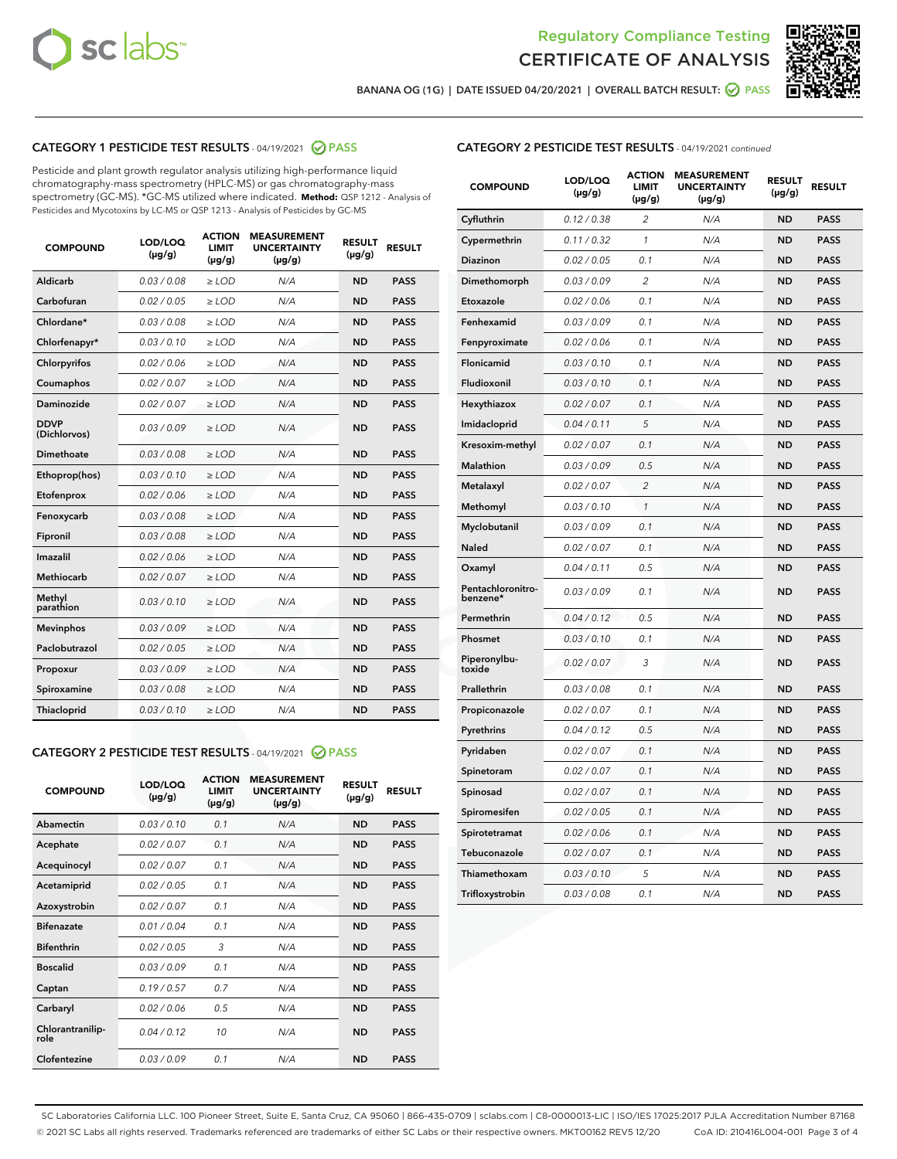



BANANA OG (1G) | DATE ISSUED 04/20/2021 | OVERALL BATCH RESULT:  $\bigcirc$  PASS

## CATEGORY 1 PESTICIDE TEST RESULTS - 04/19/2021 2 PASS

Pesticide and plant growth regulator analysis utilizing high-performance liquid chromatography-mass spectrometry (HPLC-MS) or gas chromatography-mass spectrometry (GC-MS). \*GC-MS utilized where indicated. **Method:** QSP 1212 - Analysis of Pesticides and Mycotoxins by LC-MS or QSP 1213 - Analysis of Pesticides by GC-MS

| <b>COMPOUND</b>             | LOD/LOQ<br>$(\mu g/g)$ | <b>ACTION</b><br><b>LIMIT</b><br>$(\mu g/g)$ | <b>MEASUREMENT</b><br><b>UNCERTAINTY</b><br>$(\mu g/g)$ | <b>RESULT</b><br>$(\mu g/g)$ | <b>RESULT</b> |
|-----------------------------|------------------------|----------------------------------------------|---------------------------------------------------------|------------------------------|---------------|
| Aldicarb                    | 0.03 / 0.08            | $\ge$ LOD                                    | N/A                                                     | <b>ND</b>                    | <b>PASS</b>   |
| Carbofuran                  | 0.02/0.05              | $>$ LOD                                      | N/A                                                     | <b>ND</b>                    | <b>PASS</b>   |
| Chlordane*                  | 0.03 / 0.08            | $\ge$ LOD                                    | N/A                                                     | <b>ND</b>                    | <b>PASS</b>   |
| Chlorfenapyr*               | 0.03/0.10              | $\ge$ LOD                                    | N/A                                                     | <b>ND</b>                    | <b>PASS</b>   |
| Chlorpyrifos                | 0.02 / 0.06            | $\ge$ LOD                                    | N/A                                                     | <b>ND</b>                    | <b>PASS</b>   |
| Coumaphos                   | 0.02/0.07              | $>$ LOD                                      | N/A                                                     | <b>ND</b>                    | <b>PASS</b>   |
| <b>Daminozide</b>           | 0.02 / 0.07            | $\ge$ LOD                                    | N/A                                                     | <b>ND</b>                    | <b>PASS</b>   |
| <b>DDVP</b><br>(Dichlorvos) | 0.03/0.09              | $\ge$ LOD                                    | N/A                                                     | <b>ND</b>                    | <b>PASS</b>   |
| <b>Dimethoate</b>           | 0.03/0.08              | $\ge$ LOD                                    | N/A                                                     | <b>ND</b>                    | <b>PASS</b>   |
| Ethoprop(hos)               | 0.03/0.10              | $\ge$ LOD                                    | N/A                                                     | <b>ND</b>                    | <b>PASS</b>   |
| Etofenprox                  | 0.02 / 0.06            | $>$ LOD                                      | N/A                                                     | <b>ND</b>                    | <b>PASS</b>   |
| Fenoxycarb                  | 0.03/0.08              | $\ge$ LOD                                    | N/A                                                     | <b>ND</b>                    | <b>PASS</b>   |
| Fipronil                    | 0.03/0.08              | $>$ LOD                                      | N/A                                                     | <b>ND</b>                    | <b>PASS</b>   |
| Imazalil                    | 0.02 / 0.06            | $\ge$ LOD                                    | N/A                                                     | <b>ND</b>                    | <b>PASS</b>   |
| Methiocarb                  | 0.02 / 0.07            | $\ge$ LOD                                    | N/A                                                     | <b>ND</b>                    | <b>PASS</b>   |
| Methyl<br>parathion         | 0.03/0.10              | $>$ LOD                                      | N/A                                                     | <b>ND</b>                    | <b>PASS</b>   |
| <b>Mevinphos</b>            | 0.03/0.09              | $>$ LOD                                      | N/A                                                     | <b>ND</b>                    | <b>PASS</b>   |
| Paclobutrazol               | 0.02 / 0.05            | $\ge$ LOD                                    | N/A                                                     | <b>ND</b>                    | <b>PASS</b>   |
| Propoxur                    | 0.03/0.09              | $>$ LOD                                      | N/A                                                     | <b>ND</b>                    | <b>PASS</b>   |
| Spiroxamine                 | 0.03 / 0.08            | $\ge$ LOD                                    | N/A                                                     | <b>ND</b>                    | <b>PASS</b>   |
| Thiacloprid                 | 0.03/0.10              | $\ge$ LOD                                    | N/A                                                     | <b>ND</b>                    | <b>PASS</b>   |

#### CATEGORY 2 PESTICIDE TEST RESULTS - 04/19/2021 @ PASS

| <b>COMPOUND</b>          | LOD/LOO<br>$(\mu g/g)$ | <b>ACTION</b><br>LIMIT<br>$(\mu g/g)$ | <b>MEASUREMENT</b><br><b>UNCERTAINTY</b><br>$(\mu g/g)$ | <b>RESULT</b><br>$(\mu g/g)$ | <b>RESULT</b> |  |
|--------------------------|------------------------|---------------------------------------|---------------------------------------------------------|------------------------------|---------------|--|
| Abamectin                | 0.03/0.10              | 0.1                                   | N/A                                                     | <b>ND</b>                    | <b>PASS</b>   |  |
| Acephate                 | 0.02/0.07              | 0.1                                   | N/A                                                     | <b>ND</b>                    | <b>PASS</b>   |  |
| Acequinocyl              | 0.02/0.07              | 0.1                                   | N/A                                                     | <b>ND</b>                    | <b>PASS</b>   |  |
| Acetamiprid              | 0.02 / 0.05            | 0.1                                   | N/A                                                     | <b>ND</b>                    | <b>PASS</b>   |  |
| Azoxystrobin             | 0.02/0.07              | 0.1                                   | N/A                                                     | <b>ND</b>                    | <b>PASS</b>   |  |
| <b>Bifenazate</b>        | 0.01 / 0.04            | 0.1                                   | N/A                                                     | <b>ND</b>                    | <b>PASS</b>   |  |
| <b>Bifenthrin</b>        | 0.02 / 0.05            | 3                                     | N/A                                                     | <b>ND</b>                    | <b>PASS</b>   |  |
| <b>Boscalid</b>          | 0.03/0.09              | 0.1                                   | N/A                                                     | <b>ND</b>                    | <b>PASS</b>   |  |
| Captan                   | 0.19/0.57              | 0.7                                   | N/A                                                     | <b>ND</b>                    | <b>PASS</b>   |  |
| Carbaryl                 | 0.02/0.06              | 0.5                                   | N/A                                                     | <b>ND</b>                    | <b>PASS</b>   |  |
| Chlorantranilip-<br>role | 0.04/0.12              | 10                                    | N/A                                                     | <b>ND</b>                    | <b>PASS</b>   |  |
| Clofentezine             | 0.03/0.09              | 0.1                                   | N/A                                                     | <b>ND</b>                    | <b>PASS</b>   |  |

| <b>CATEGORY 2 PESTICIDE TEST RESULTS</b> - 04/19/2021 continued |
|-----------------------------------------------------------------|
|-----------------------------------------------------------------|

| <b>COMPOUND</b>               | LOD/LOQ<br>(µg/g) | <b>ACTION</b><br><b>LIMIT</b><br>(µg/g) | <b>MEASUREMENT</b><br><b>UNCERTAINTY</b><br>$(\mu g/g)$ | <b>RESULT</b><br>(µg/g) | <b>RESULT</b> |
|-------------------------------|-------------------|-----------------------------------------|---------------------------------------------------------|-------------------------|---------------|
| Cyfluthrin                    | 0.12 / 0.38       | $\overline{c}$                          | N/A                                                     | <b>ND</b>               | <b>PASS</b>   |
| Cypermethrin                  | 0.11 / 0.32       | $\mathcal{I}$                           | N/A                                                     | <b>ND</b>               | <b>PASS</b>   |
| <b>Diazinon</b>               | 0.02 / 0.05       | 0.1                                     | N/A                                                     | <b>ND</b>               | <b>PASS</b>   |
| Dimethomorph                  | 0.03 / 0.09       | 2                                       | N/A                                                     | <b>ND</b>               | <b>PASS</b>   |
| Etoxazole                     | 0.02 / 0.06       | 0.1                                     | N/A                                                     | <b>ND</b>               | <b>PASS</b>   |
| Fenhexamid                    | 0.03 / 0.09       | 0.1                                     | N/A                                                     | <b>ND</b>               | <b>PASS</b>   |
| Fenpyroximate                 | 0.02 / 0.06       | 0.1                                     | N/A                                                     | <b>ND</b>               | <b>PASS</b>   |
| Flonicamid                    | 0.03 / 0.10       | 0.1                                     | N/A                                                     | <b>ND</b>               | <b>PASS</b>   |
| Fludioxonil                   | 0.03/0.10         | 0.1                                     | N/A                                                     | <b>ND</b>               | <b>PASS</b>   |
| Hexythiazox                   | 0.02 / 0.07       | 0.1                                     | N/A                                                     | <b>ND</b>               | <b>PASS</b>   |
| Imidacloprid                  | 0.04 / 0.11       | 5                                       | N/A                                                     | <b>ND</b>               | <b>PASS</b>   |
| Kresoxim-methyl               | 0.02 / 0.07       | 0.1                                     | N/A                                                     | <b>ND</b>               | <b>PASS</b>   |
| <b>Malathion</b>              | 0.03 / 0.09       | 0.5                                     | N/A                                                     | <b>ND</b>               | <b>PASS</b>   |
| Metalaxyl                     | 0.02 / 0.07       | $\overline{c}$                          | N/A                                                     | <b>ND</b>               | <b>PASS</b>   |
| Methomyl                      | 0.03 / 0.10       | 1                                       | N/A                                                     | <b>ND</b>               | <b>PASS</b>   |
| Myclobutanil                  | 0.03 / 0.09       | 0.1                                     | N/A                                                     | <b>ND</b>               | <b>PASS</b>   |
| Naled                         | 0.02 / 0.07       | 0.1                                     | N/A                                                     | <b>ND</b>               | <b>PASS</b>   |
| Oxamyl                        | 0.04 / 0.11       | 0.5                                     | N/A                                                     | <b>ND</b>               | <b>PASS</b>   |
| Pentachloronitro-<br>benzene* | 0.03 / 0.09       | 0.1                                     | N/A                                                     | <b>ND</b>               | <b>PASS</b>   |
| Permethrin                    | 0.04 / 0.12       | 0.5                                     | N/A                                                     | <b>ND</b>               | <b>PASS</b>   |
| Phosmet                       | 0.03 / 0.10       | 0.1                                     | N/A                                                     | <b>ND</b>               | <b>PASS</b>   |
| Piperonylbu-<br>toxide        | 0.02 / 0.07       | 3                                       | N/A                                                     | <b>ND</b>               | <b>PASS</b>   |
| Prallethrin                   | 0.03 / 0.08       | 0.1                                     | N/A                                                     | <b>ND</b>               | <b>PASS</b>   |
| Propiconazole                 | 0.02 / 0.07       | 0.1                                     | N/A                                                     | <b>ND</b>               | <b>PASS</b>   |
| Pyrethrins                    | 0.04 / 0.12       | 0.5                                     | N/A                                                     | <b>ND</b>               | <b>PASS</b>   |
| Pyridaben                     | 0.02 / 0.07       | 0.1                                     | N/A                                                     | <b>ND</b>               | <b>PASS</b>   |
| Spinetoram                    | 0.02 / 0.07       | 0.1                                     | N/A                                                     | <b>ND</b>               | <b>PASS</b>   |
| Spinosad                      | 0.02 / 0.07       | 0.1                                     | N/A                                                     | <b>ND</b>               | <b>PASS</b>   |
| Spiromesifen                  | 0.02 / 0.05       | 0.1                                     | N/A                                                     | <b>ND</b>               | <b>PASS</b>   |
| Spirotetramat                 | 0.02 / 0.06       | 0.1                                     | N/A                                                     | <b>ND</b>               | <b>PASS</b>   |
| Tebuconazole                  | 0.02 / 0.07       | 0.1                                     | N/A                                                     | <b>ND</b>               | <b>PASS</b>   |
| Thiamethoxam                  | 0.03 / 0.10       | 5                                       | N/A                                                     | <b>ND</b>               | <b>PASS</b>   |
| Trifloxystrobin               | 0.03 / 0.08       | 0.1                                     | N/A                                                     | <b>ND</b>               | <b>PASS</b>   |

SC Laboratories California LLC. 100 Pioneer Street, Suite E, Santa Cruz, CA 95060 | 866-435-0709 | sclabs.com | C8-0000013-LIC | ISO/IES 17025:2017 PJLA Accreditation Number 87168 © 2021 SC Labs all rights reserved. Trademarks referenced are trademarks of either SC Labs or their respective owners. MKT00162 REV5 12/20 CoA ID: 210416L004-001 Page 3 of 4